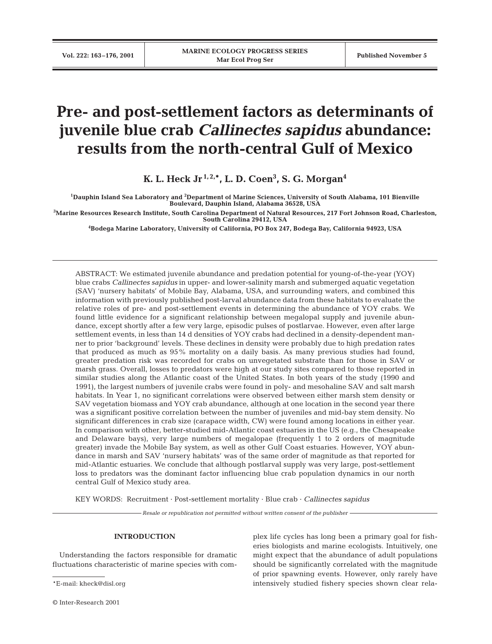# **Pre- and post-settlement factors as determinants of juvenile blue crab** *Callinectes sapidus* **abundance: results from the north-central Gulf of Mexico**

**K. L. Heck Jr 1, 2,\*, L. D. Coen3 , S. G. Morgan4**

**1 Dauphin Island Sea Laboratory and 2 Department of Marine Sciences, University of South Alabama, 101 Bienville Boulevard, Dauphin Island, Alabama 36528, USA**

**3 Marine Resources Research Institute, South Carolina Department of Natural Resources, 217 Fort Johnson Road, Charleston, South Carolina 29412, USA**

**4 Bodega Marine Laboratory, University of California, PO Box 247, Bodega Bay, California 94923, USA**

ABSTRACT: We estimated juvenile abundance and predation potential for young-of-the-year (YOY) blue crabs *Callinectes sapidus* in upper- and lower-salinity marsh and submerged aquatic vegetation (SAV) 'nursery habitats' of Mobile Bay, Alabama, USA, and surrounding waters, and combined this information with previously published post-larval abundance data from these habitats to evaluate the relative roles of pre- and post-settlement events in determining the abundance of YOY crabs. We found little evidence for a significant relationship between megalopal supply and juvenile abundance, except shortly after a few very large, episodic pulses of postlarvae. However, even after large settlement events, in less than 14 d densities of YOY crabs had declined in a density-dependent manner to prior 'background' levels. These declines in density were probably due to high predation rates that produced as much as 95% mortality on a daily basis. As many previous studies had found, greater predation risk was recorded for crabs on unvegetated substrate than for those in SAV or marsh grass. Overall, losses to predators were high at our study sites compared to those reported in similar studies along the Atlantic coast of the United States. In both years of the study (1990 and 1991), the largest numbers of juvenile crabs were found in poly- and mesohaline SAV and salt marsh habitats. In Year 1, no significant correlations were observed between either marsh stem density or SAV vegetation biomass and YOY crab abundance, although at one location in the second year there was a significant positive correlation between the number of juveniles and mid-bay stem density. No significant differences in crab size (carapace width, CW) were found among locations in either year. In comparison with other, better-studied mid-Atlantic coast estuaries in the US (e.g., the Chesapeake and Delaware bays), very large numbers of megalopae (frequently 1 to 2 orders of magnitude greater) invade the Mobile Bay system, as well as other Gulf Coast estuaries. However, YOY abundance in marsh and SAV 'nursery habitats' was of the same order of magnitude as that reported for mid-Atlantic estuaries. We conclude that although postlarval supply was very large, post-settlement loss to predators was the dominant factor influencing blue crab population dynamics in our north central Gulf of Mexico study area.

KEY WORDS: Recruitment · Post-settlement mortality · Blue crab · *Callinectes sapidus*

*Resale or republication not permitted without written consent of the publisher*

#### **INTRODUCTION**

Understanding the factors responsible for dramatic fluctuations characteristic of marine species with com-

\*E-mail: kheck@disl.org

plex life cycles has long been a primary goal for fisheries biologists and marine ecologists. Intuitively, one might expect that the abundance of adult populations should be significantly correlated with the magnitude of prior spawning events. However, only rarely have intensively studied fishery species shown clear rela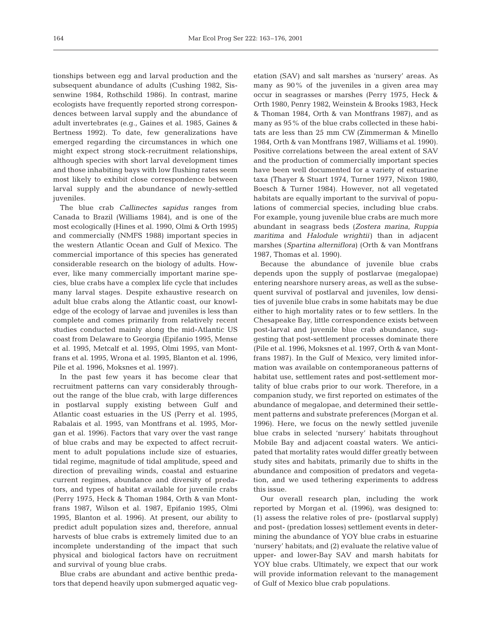tionships between egg and larval production and the subsequent abundance of adults (Cushing 1982, Sissenwine 1984, Rothschild 1986). In contrast, marine ecologists have frequently reported strong correspondences between larval supply and the abundance of adult invertebrates (e.g., Gaines et al. 1985, Gaines & Bertness 1992). To date, few generalizations have emerged regarding the circumstances in which one might expect strong stock-recruitment relationships, although species with short larval development times and those inhabiting bays with low flushing rates seem most likely to exhibit close correspondence between larval supply and the abundance of newly-settled juveniles.

The blue crab *Callinectes sapidus* ranges from Canada to Brazil (Williams 1984), and is one of the most ecologically (Hines et al. 1990, Olmi & Orth 1995) and commercially (NMFS 1988) important species in the western Atlantic Ocean and Gulf of Mexico. The commercial importance of this species has generated considerable research on the biology of adults. However, like many commercially important marine species, blue crabs have a complex life cycle that includes many larval stages. Despite exhaustive research on adult blue crabs along the Atlantic coast, our knowledge of the ecology of larvae and juveniles is less than complete and comes primarily from relatively recent studies conducted mainly along the mid-Atlantic US coast from Delaware to Georgia (Epifanio 1995, Mense et al. 1995, Metcalf et al. 1995, Olmi 1995, van Montfrans et al. 1995, Wrona et al. 1995, Blanton et al. 1996, Pile et al. 1996, Moksnes et al. 1997).

In the past few years it has become clear that recruitment patterns can vary considerably throughout the range of the blue crab, with large differences in postlarval supply existing between Gulf and Atlantic coast estuaries in the US (Perry et al. 1995, Rabalais et al. 1995, van Montfrans et al. 1995, Morgan et al. 1996). Factors that vary over the vast range of blue crabs and may be expected to affect recruitment to adult populations include size of estuaries, tidal regime, magnitude of tidal amplitude, speed and direction of prevailing winds, coastal and estuarine current regimes, abundance and diversity of predators, and types of habitat available for juvenile crabs (Perry 1975, Heck & Thoman 1984, Orth & van Montfrans 1987, Wilson et al. 1987, Epifanio 1995, Olmi 1995, Blanton et al. 1996). At present, our ability to predict adult population sizes and, therefore, annual harvests of blue crabs is extremely limited due to an incomplete understanding of the impact that such physical and biological factors have on recruitment and survival of young blue crabs.

Blue crabs are abundant and active benthic predators that depend heavily upon submerged aquatic vegetation (SAV) and salt marshes as 'nursery' areas. As many as 90% of the juveniles in a given area may occur in seagrasses or marshes (Perry 1975, Heck & Orth 1980, Penry 1982, Weinstein & Brooks 1983, Heck & Thoman 1984, Orth & van Montfrans 1987), and as many as 95% of the blue crabs collected in these habitats are less than 25 mm CW (Zimmerman & Minello 1984, Orth & van Montfrans 1987, Williams et al. 1990). Positive correlations between the areal extent of SAV and the production of commercially important species have been well documented for a variety of estuarine taxa (Thayer & Stuart 1974, Turner 1977, Nixon 1980, Boesch & Turner 1984). However, not all vegetated habitats are equally important to the survival of populations of commercial species, including blue crabs. For example, young juvenile blue crabs are much more abundant in seagrass beds (*Zostera marina*, *Ruppia maritima* and *Halodule wrightii*) than in adjacent marshes (*Spartina alterniflora*) (Orth & van Montfrans 1987, Thomas et al. 1990).

Because the abundance of juvenile blue crabs depends upon the supply of postlarvae (megalopae) entering nearshore nursery areas, as well as the subsequent survival of postlarval and juveniles, low densities of juvenile blue crabs in some habitats may be due either to high mortality rates or to few settlers. In the Chesapeake Bay, little correspondence exists between post-larval and juvenile blue crab abundance, suggesting that post-settlement processes dominate there (Pile et al. 1996, Moksnes et al. 1997, Orth & van Montfrans 1987). In the Gulf of Mexico, very limited information was available on contemporaneous patterns of habitat use, settlement rates and post-settlement mortality of blue crabs prior to our work. Therefore, in a companion study, we first reported on estimates of the abundance of megalopae, and determined their settlement patterns and substrate preferences (Morgan et al. 1996). Here, we focus on the newly settled juvenile blue crabs in selected 'nursery' habitats throughout Mobile Bay and adjacent coastal waters. We anticipated that mortality rates would differ greatly between study sites and habitats, primarily due to shifts in the abundance and composition of predators and vegetation, and we used tethering experiments to address this issue.

Our overall research plan, including the work reported by Morgan et al. (1996), was designed to: (1) assess the relative roles of pre- (postlarval supply) and post- (predation losses) settlement events in determining the abundance of YOY blue crabs in estuarine 'nursery' habitats; and (2) evaluate the relative value of upper- and lower-Bay SAV and marsh habitats for YOY blue crabs. Ultimately, we expect that our work will provide information relevant to the management of Gulf of Mexico blue crab populations.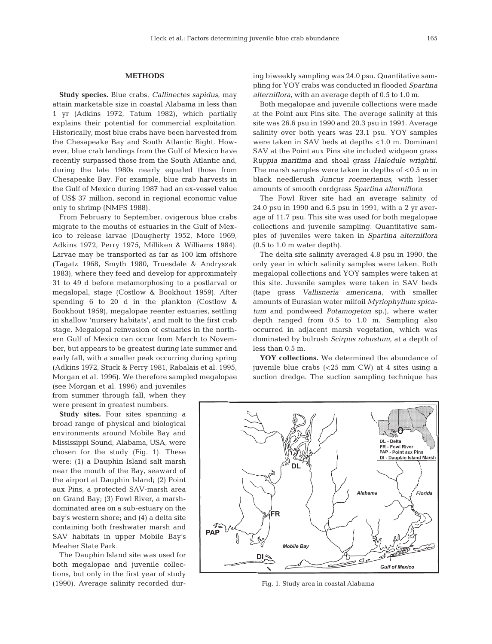#### **METHODS**

**Study species.** Blue crabs, *Callinectes sapidus,* may attain marketable size in coastal Alabama in less than 1 yr (Adkins 1972, Tatum 1982), which partially explains their potential for commercial exploitation. Historically, most blue crabs have been harvested from the Chesapeake Bay and South Atlantic Bight. However, blue crab landings from the Gulf of Mexico have recently surpassed those from the South Atlantic and, during the late 1980s nearly equaled those from Chesapeake Bay. For example, blue crab harvests in the Gulf of Mexico during 1987 had an ex-vessel value of US\$ 37 million, second in regional economic value only to shrimp (NMFS 1988).

From February to September, ovigerous blue crabs migrate to the mouths of estuaries in the Gulf of Mexico to release larvae (Daugherty 1952, More 1969, Adkins 1972, Perry 1975, Milliken & Williams 1984). Larvae may be transported as far as 100 km offshore (Tagatz 1968, Smyth 1980, Truesdale & Andryszak 1983), where they feed and develop for approximately 31 to 49 d before metamorphosing to a postlarval or megalopal, stage (Costlow & Bookhout 1959). After spending 6 to 20 d in the plankton (Costlow & Bookhout 1959), megalopae reenter estuaries, settling in shallow 'nursery habitats', and molt to the first crab stage. Megalopal reinvasion of estuaries in the northern Gulf of Mexico can occur from March to November, but appears to be greatest during late summer and early fall, with a smaller peak occurring during spring (Adkins 1972, Stuck & Perry 1981, Rabalais et al. 1995, Morgan et al. 1996). We therefore sampled megalopae

(see Morgan et al. 1996) and juveniles from summer through fall, when they were present in greatest numbers.

**Study sites.** Four sites spanning a broad range of physical and biological environments around Mobile Bay and Mississippi Sound, Alabama, USA, were chosen for the study (Fig. 1). These were: (1) a Dauphin Island salt marsh near the mouth of the Bay, seaward of the airport at Dauphin Island; (2) Point aux Pins, a protected SAV-marsh area on Grand Bay; (3) Fowl River, a marshdominated area on a sub-estuary on the bay's western shore; and (4) a delta site containing both freshwater marsh and SAV habitats in upper Mobile Bay's Meaher State Park.

The Dauphin Island site was used for both megalopae and juvenile collections, but only in the first year of study (1990). Average salinity recorded during biweekly sampling was 24.0 psu. Quantitative sampling for YOY crabs was conducted in flooded *Spartina alterniflora*, with an average depth of 0.5 to 1.0 m.

Both megalopae and juvenile collections were made at the Point aux Pins site. The average salinity at this site was 26.6 psu in 1990 and 20.3 psu in 1991. Average salinity over both years was 23.1 psu. YOY samples were taken in SAV beds at depths <1.0 m. Dominant SAV at the Point aux Pins site included widgeon grass R*uppia maritima* and shoal grass *Halodule wrightii*. The marsh samples were taken in depths of  $< 0.5$  m in black needlerush *Juncus roemerianus*, with lesser amounts of smooth cordgrass *Spartina alterniflora*.

The Fowl River site had an average salinity of 24.0 psu in 1990 and 6.5 psu in 1991, with a 2 yr average of 11.7 psu. This site was used for both megalopae collections and juvenile sampling. Quantitative samples of juveniles were taken in *Spartina alterniflora* (0.5 to 1.0 m water depth).

The delta site salinity averaged 4.8 psu in 1990, the only year in which salinity samples were taken. Both megalopal collections and YOY samples were taken at this site. Juvenile samples were taken in SAV beds (tape grass *Vallisneria americana*, with smaller amounts of Eurasian water milfoil *Myriophyllum spicatum* and pondweed *Potamogeton* sp.), where water depth ranged from 0.5 to 1.0 m. Sampling also occurred in adjacent marsh vegetation, which was dominated by bulrush *Scirpus robustum*, at a depth of less than 0.5 m.

**YOY collections.** We determined the abundance of juvenile blue crabs (<25 mm CW) at 4 sites using a suction dredge. The suction sampling technique has



Fig. 1. Study area in coastal Alabama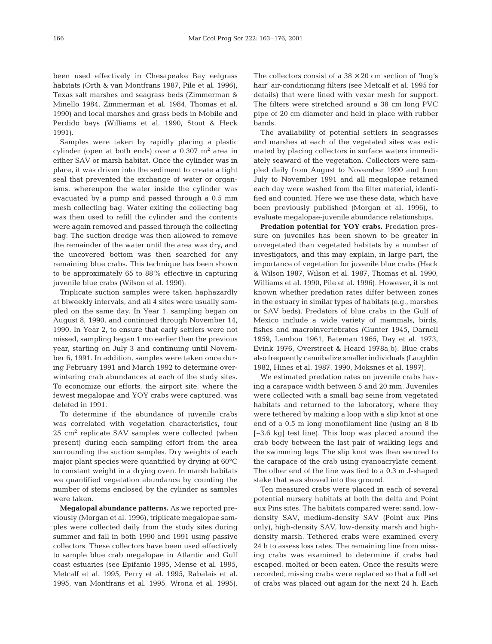been used effectively in Chesapeake Bay eelgrass habitats (Orth & van Montfrans 1987, Pile et al. 1996), Texas salt marshes and seagrass beds (Zimmerman & Minello 1984, Zimmerman et al. 1984, Thomas et al. 1990) and local marshes and grass beds in Mobile and Perdido bays (Williams et al. 1990, Stout & Heck 1991).

Samples were taken by rapidly placing a plastic cylinder (open at both ends) over a  $0.307 \text{ m}^2$  area in either SAV or marsh habitat. Once the cylinder was in place, it was driven into the sediment to create a tight seal that prevented the exchange of water or organisms, whereupon the water inside the cylinder was evacuated by a pump and passed through a 0.5 mm mesh collecting bag. Water exiting the collecting bag was then used to refill the cylinder and the contents were again removed and passed through the collecting bag. The suction dredge was then allowed to remove the remainder of the water until the area was dry, and the uncovered bottom was then searched for any remaining blue crabs. This technique has been shown to be approximately 65 to 88% effective in capturing juvenile blue crabs (Wilson et al. 1990).

Triplicate suction samples were taken haphazardly at biweekly intervals, and all 4 sites were usually sampled on the same day. In Year 1, sampling began on August 8, 1990, and continued through November 14, 1990. In Year 2, to ensure that early settlers were not missed, sampling began 1 mo earlier than the previous year, starting on July 3 and continuing until November 6, 1991. In addition, samples were taken once during February 1991 and March 1992 to determine overwintering crab abundances at each of the study sites. To economize our efforts, the airport site, where the fewest megalopae and YOY crabs were captured, was deleted in 1991.

To determine if the abundance of juvenile crabs was correlated with vegetation characteristics, four  $25 \text{ cm}^2$  replicate SAV samples were collected (when present) during each sampling effort from the area surrounding the suction samples. Dry weights of each major plant species were quantified by drying at 60°C to constant weight in a drying oven. In marsh habitats we quantified vegetation abundance by counting the number of stems enclosed by the cylinder as samples were taken.

**Megalopal abundance patterns.** As we reported previously (Morgan et al. 1996), triplicate megalopae samples were collected daily from the study sites during summer and fall in both 1990 and 1991 using passive collectors. These collectors have been used effectively to sample blue crab megalopae in Atlantic and Gulf coast estuaries (see Epifanio 1995, Mense et al. 1995, Metcalf et al. 1995, Perry et al. 1995, Rabalais et al. 1995, van Montfrans et al. 1995, Wrona et al. 1995).

The collectors consist of a  $38 \times 20$  cm section of 'hog's hair' air-conditioning filters (see Metcalf et al. 1995 for details) that were lined with vexar mesh for support. The filters were stretched around a 38 cm long PVC pipe of 20 cm diameter and held in place with rubber bands.

The availability of potential settlers in seagrasses and marshes at each of the vegetated sites was estimated by placing collectors in surface waters immediately seaward of the vegetation. Collectors were sampled daily from August to November 1990 and from July to November 1991 and all megalopae retained each day were washed from the filter material, identified and counted. Here we use these data, which have been previously published (Morgan et al. 1996), to evaluate megalopae-juvenile abundance relationships.

**Predation potential for YOY crabs.** Predation pressure on juveniles has been shown to be greater in unvegetated than vegetated habitats by a number of investigators, and this may explain, in large part, the importance of vegetation for juvenile blue crabs (Heck & Wilson 1987, Wilson et al. 1987, Thomas et al. 1990, Williams et al. 1990, Pile et al. 1996). However, it is not known whether predation rates differ between zones in the estuary in similar types of habitats (e.g., marshes or SAV beds). Predators of blue crabs in the Gulf of Mexico include a wide variety of mammals, birds, fishes and macroinvertebrates (Gunter 1945, Darnell 1959, Lambou 1961, Bateman 1965, Day et al. 1973, Evink 1976, Overstreet & Heard 1978a,b). Blue crabs also frequently cannibalize smaller individuals (Laughlin 1982, Hines et al. 1987, 1990, Moksnes et al. 1997).

We estimated predation rates on juvenile crabs having a carapace width between 5 and 20 mm. Juveniles were collected with a small bag seine from vegetated habitats and returned to the laboratory, where they were tethered by making a loop with a slip knot at one end of a 0.5 m long monofilament line (using an 8 lb [~3.6 kg] test line). This loop was placed around the crab body between the last pair of walking legs and the swimming legs. The slip knot was then secured to the carapace of the crab using cyanoacrylate cement. The other end of the line was tied to a 0.3 m J-shaped stake that was shoved into the ground.

Ten measured crabs were placed in each of several potential nursery habitats at both the delta and Point aux Pins sites. The habitats compared were: sand, lowdensity SAV, medium-density SAV (Point aux Pins only), high-density SAV, low-density marsh and highdensity marsh. Tethered crabs were examined every 24 h to assess loss rates. The remaining line from missing crabs was examined to determine if crabs had escaped, molted or been eaten. Once the results were recorded, missing crabs were replaced so that a full set of crabs was placed out again for the next 24 h. Each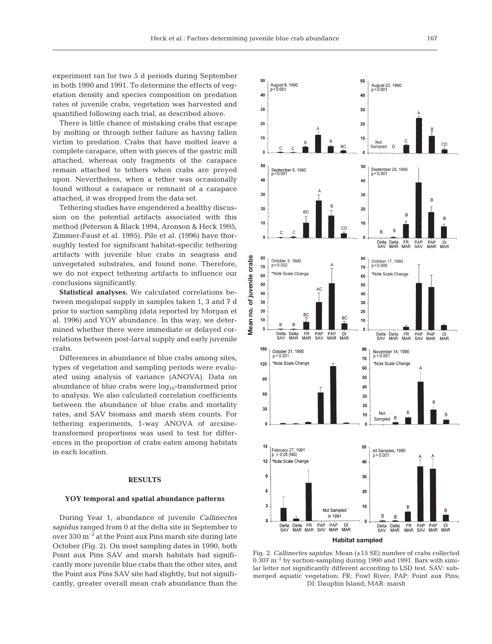experiment ran for two 5 d periods during September in both 1990 and 1991. To determine the effects of vegetation density and species composition on predation rates of juvenile crabs, vegetation was harvested and quantified following each trial, as described above.

There is little chance of mistaking crabs that escape by molting or through tether failure as having fallen victim to predation. Crabs that have molted leave a complete carapace, often with pieces of the gastric mill attached, whereas only fragments of the carapace remain attached to tethers when crabs are preyed upon. Nevertheless, when a tether was occasionally found without a carapace or remnant of a carapace attached, it was dropped from the data set.

Tethering studies have engendered a healthy discussion on the potential artifacts associated with this method (Peterson & Black 1994, Aronson & Heck 1995, Zimmer-Faust et al. 1995). Pile et al. (1996) have thoroughly tested for significant habitat-specific tethering artifacts with juvenile blue crabs in seagrass and unvegetated substrates, and found none. Therefore, we do not expect tethering artifacts to influence our conclusions significantly.

**Statistical analyses.** We calculated correlations between megalopal supply in samples taken 1, 3 and 7 d prior to suction sampling (data reported by Morgan et al. 1996) and YOY abundance. In this way, we determined whether there were immediate or delayed correlations between post-larval supply and early juvenile crabs.

Differences in abundance of blue crabs among sites, types of vegetation and sampling periods were evaluated using analysis of variance (ANOVA). Data on abundance of blue crabs were  $log_{10}$ -transformed prior to analysis. We also calculated correlation coefficients between the abundance of blue crabs and mortality rates, and SAV biomass and marsh stem counts. For tethering experiments, 1-way ANOVA of arcsinetransformed proportions was used to test for differences in the proportion of crabs eaten among habitats in each location.

## **RESULTS**

#### **YOY temporal and spatial abundance patterns**

During Year 1, abundance of juvenile *Callinectes sapidus* ranged from 0 at the delta site in September to over 330 m–2 at the Point aux Pins marsh site during late October (Fig. 2). On most sampling dates in 1990, both Point aux Pins SAV and marsh habitats had significantly more juvenile blue crabs than the other sites, and the Point aux Pins SAV site had slightly, but not significantly, greater overall mean crab abundance than the



Fig. 2. *Callinectes sapidus.* Mean (±15 SE) number of crabs collected  $0.307$   $\mathrm{m}^{-2}$  by suction-sampling during 1990 and 1991. Bars with similar letter not significantly different according to LSD test. SAV: submerged aquatic vegetation; FR: Fowl River; PAP: Point aux Pins; DI: Dauphin Island; MAR: marsh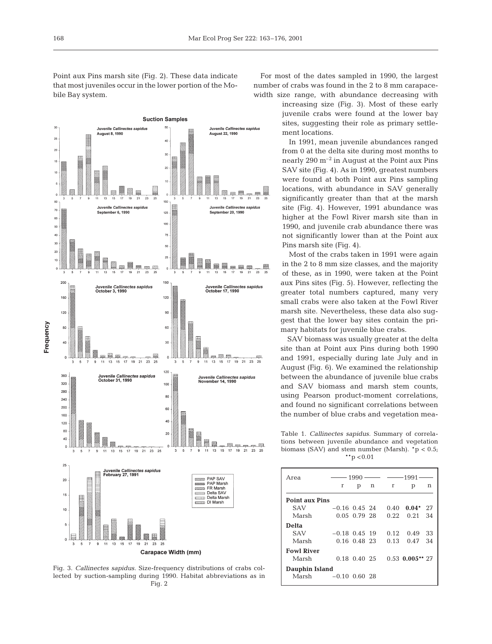Point aux Pins marsh site (Fig. 2). These data indicate that most juveniles occur in the lower portion of the Mobile Bay system.



Fig. 3. *Callinectes sapidus.* Size-frequency distributions of crabs collected by suction-sampling during 1990. Habitat abbreviations as in Fig. 2

For most of the dates sampled in 1990, the largest number of crabs was found in the 2 to 8 mm carapacewidth size range, with abundance decreasing with

> increasing size (Fig. 3). Most of these early juvenile crabs were found at the lower bay sites, suggesting their role as primary settlement locations.

> In 1991, mean juvenile abundances ranged from 0 at the delta site during most months to nearly 290  $m^{-2}$  in August at the Point aux Pins SAV site (Fig. 4). As in 1990, greatest numbers were found at both Point aux Pins sampling locations, with abundance in SAV generally significantly greater than that at the marsh site (Fig. 4). However, 1991 abundance was higher at the Fowl River marsh site than in 1990, and juvenile crab abundance there was not significantly lower than at the Point aux Pins marsh site (Fig. 4).

> Most of the crabs taken in 1991 were again in the 2 to 8 mm size classes, and the majority of these, as in 1990, were taken at the Point aux Pins sites (Fig. 5). However, reflecting the greater total numbers captured, many very small crabs were also taken at the Fowl River marsh site. Nevertheless, these data also suggest that the lower bay sites contain the primary habitats for juvenile blue crabs.

> SAV biomass was usually greater at the delta site than at Point aux Pins during both 1990 and 1991, especially during late July and in August (Fig. 6). We examined the relationship between the abundance of juvenile blue crabs and SAV biomass and marsh stem counts, using Pearson product-moment correlations, and found no significant correlations between the number of blue crabs and vegetation mea-

Table 1. *Callinectes sapidus.* Summary of correlations between juvenile abundance and vegetation biomass (SAV) and stem number (Marsh).  $*p < 0.5$ ;  $*$  $p$  < 0.01

| Area                  | $1990 \longrightarrow 1991$ |                   |   |          |                   |    |  |
|-----------------------|-----------------------------|-------------------|---|----------|-------------------|----|--|
|                       | r                           | р                 | n | $\Gamma$ | р                 | n  |  |
| <b>Point aux Pins</b> |                             |                   |   |          |                   |    |  |
| <b>SAV</b>            | $-0.16$ 0.45 24             |                   |   | 0.40     | $0.04*$ 27        |    |  |
| Marsh                 |                             | $0.05$ 0.79 28    |   | 0.22     | 0.21              | 34 |  |
| Delta                 |                             |                   |   |          |                   |    |  |
| <b>SAV</b>            | $-0.18$ 0.45 19             |                   |   | 0.12     | 0.49              | 33 |  |
| Marsh                 |                             | 0.16 0.48 23      |   | 0.13     | 0.47              | 34 |  |
| <b>Fowl River</b>     |                             |                   |   |          |                   |    |  |
| Marsh                 |                             | $0.18$ $0.40$ 2.5 |   |          | $0.53$ 0.005** 27 |    |  |
| Dauphin Island        |                             |                   |   |          |                   |    |  |
| Marsh                 | $-0.10$ 0.60 28             |                   |   |          |                   |    |  |
|                       |                             |                   |   |          |                   |    |  |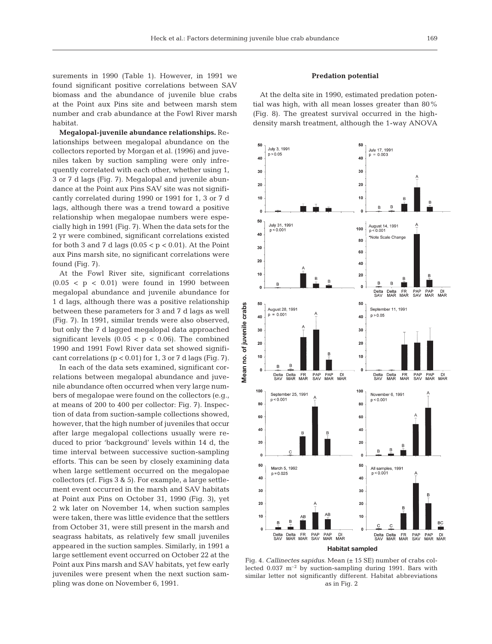surements in 1990 (Table 1). However, in 1991 we found significant positive correlations between SAV biomass and the abundance of juvenile blue crabs at the Point aux Pins site and between marsh stem number and crab abundance at the Fowl River marsh habitat.

**Megalopal-juvenile abundance relationships.** Relationships between megalopal abundance on the collectors reported by Morgan et al. (1996) and juveniles taken by suction sampling were only infrequently correlated with each other, whether using 1, 3 or 7 d lags (Fig. 7). Megalopal and juvenile abundance at the Point aux Pins SAV site was not significantly correlated during 1990 or 1991 for 1, 3 or 7 d lags, although there was a trend toward a positive relationship when megalopae numbers were especially high in 1991 (Fig. 7). When the data sets for the 2 yr were combined, significant correlations existed for both 3 and 7 d lags  $(0.05 < p < 0.01)$ . At the Point aux Pins marsh site, no significant correlations were found (Fig. 7).

At the Fowl River site, significant correlations  $(0.05 < p < 0.01)$  were found in 1990 between megalopal abundance and juvenile abundance for 1 d lags, although there was a positive relationship between these parameters for 3 and 7 d lags as well (Fig. 7). In 1991, similar trends were also observed, but only the 7 d lagged megalopal data approached significant levels  $(0.05 < p < 0.06)$ . The combined 1990 and 1991 Fowl River data set showed significant correlations ( $p < 0.01$ ) for 1, 3 or 7 d lags (Fig. 7).

In each of the data sets examined, significant correlations between megalopal abundance and juvenile abundance often occurred when very large numbers of megalopae were found on the collectors (e.g., at means of 200 to 400 per collector: Fig. 7). Inspection of data from suction-sample collections showed, however, that the high number of juveniles that occur after large megalopal collections usually were reduced to prior 'background' levels within 14 d, the time interval between successive suction-sampling efforts. This can be seen by closely examining data when large settlement occurred on the megalopae collectors (cf. Figs 3 & 5). For example, a large settlement event occurred in the marsh and SAV habitats at Point aux Pins on October 31, 1990 (Fig. 3), yet 2 wk later on November 14, when suction samples were taken, there was little evidence that the settlers from October 31, were still present in the marsh and seagrass habitats, as relatively few small juveniles appeared in the suction samples. Similarly, in 1991 a large settlement event occurred on October 22 at the Point aux Pins marsh and SAV habitats, yet few early juveniles were present when the next suction sampling was done on November 6, 1991.

## **Predation potential**

At the delta site in 1990, estimated predation potential was high, with all mean losses greater than 80% (Fig. 8). The greatest survival occurred in the highdensity marsh treatment, although the 1-way ANOVA



Fig. 4. *Callinectes sapidus.* Mean (± 15 SE) number of crabs collected  $0.037 \text{ m}^{-2}$  by suction-sampling during 1991. Bars with similar letter not significantly different. Habitat abbreviations as in Fig. 2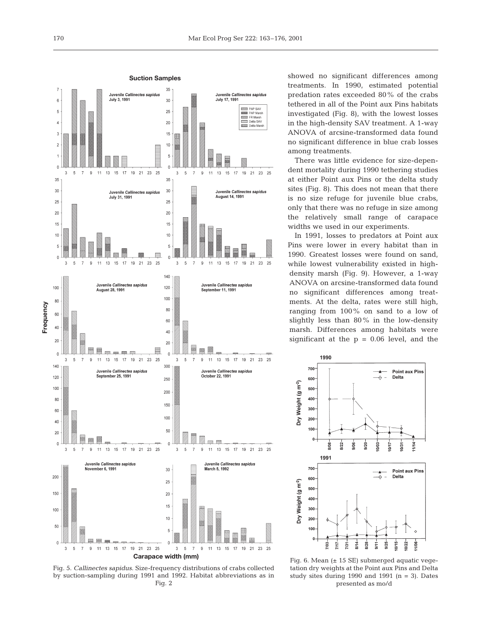



showed no significant differences among treatments. In 1990, estimated potential predation rates exceeded 80% of the crabs tethered in all of the Point aux Pins habitats investigated (Fig. 8), with the lowest losses in the high-density SAV treatment. A 1-way ANOVA of arcsine-transformed data found no significant difference in blue crab losses among treatments.

There was little evidence for size-dependent mortality during 1990 tethering studies at either Point aux Pins or the delta study sites (Fig. 8). This does not mean that there is no size refuge for juvenile blue crabs, only that there was no refuge in size among the relatively small range of carapace widths we used in our experiments.

In 1991, losses to predators at Point aux Pins were lower in every habitat than in 1990. Greatest losses were found on sand, while lowest vulnerability existed in highdensity marsh (Fig. 9). However, a 1-way ANOVA on arcsine-transformed data found no significant differences among treatments. At the delta, rates were still high, ranging from 100% on sand to a low of slightly less than 80% in the low-density marsh. Differences among habitats were significant at the  $p = 0.06$  level, and the



Fig. 6. Mean  $(± 15 SE)$  submerged aquatic vegetation dry weights at the Point aux Pins and Delta study sites during 1990 and 1991  $(n = 3)$ . Dates presented as mo/d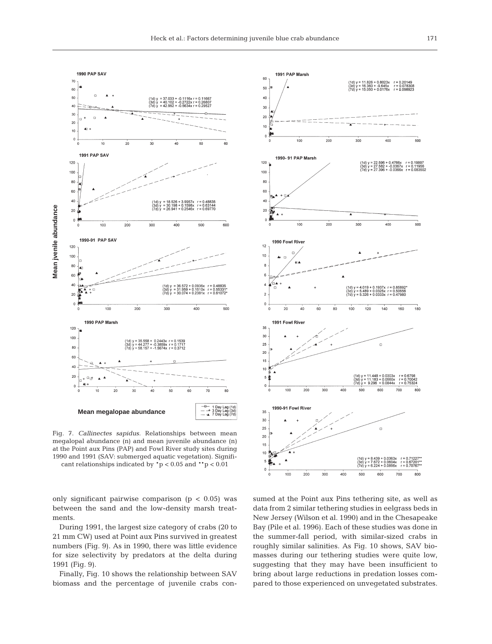

Fig. 7. *Callinectes sapidus.* Relationships between mean megalopal abundance (n) and mean juvenile abundance (n) at the Point aux Pins (PAP) and Fowl River study sites during 1990 and 1991 (SAV: submerged aquatic vegetation). Signifi-

only significant pairwise comparison  $(p < 0.05)$  was between the sand and the low-density marsh treatments.

During 1991, the largest size category of crabs (20 to 21 mm CW) used at Point aux Pins survived in greatest numbers (Fig. 9). As in 1990, there was little evidence for size selectivity by predators at the delta during 1991 (Fig. 9).

Finally, Fig. 10 shows the relationship between SAV biomass and the percentage of juvenile crabs con-



sumed at the Point aux Pins tethering site, as well as data from 2 similar tethering studies in eelgrass beds in New Jersey (Wilson et al. 1990) and in the Chesapeake Bay (Pile et al. 1996). Each of these studies was done in the summer-fall period, with similar-sized crabs in roughly similar salinities. As Fig. 10 shows, SAV biomasses during our tethering studies were quite low, suggesting that they may have been insufficient to bring about large reductions in predation losses compared to those experienced on unvegetated substrates.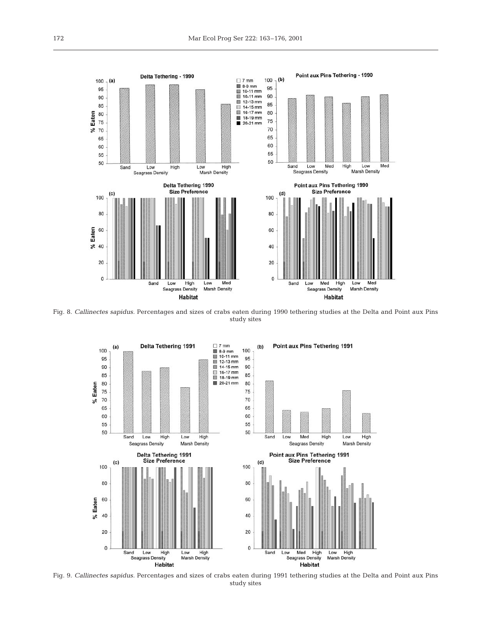

Fig. 8. *Callinectes sapidus.* Percentages and sizes of crabs eaten during 1990 tethering studies at the Delta and Point aux Pins study sites



Fig. 9. *Callinectes sapidus.* Percentages and sizes of crabs eaten during 1991 tethering studies at the Delta and Point aux Pins study sites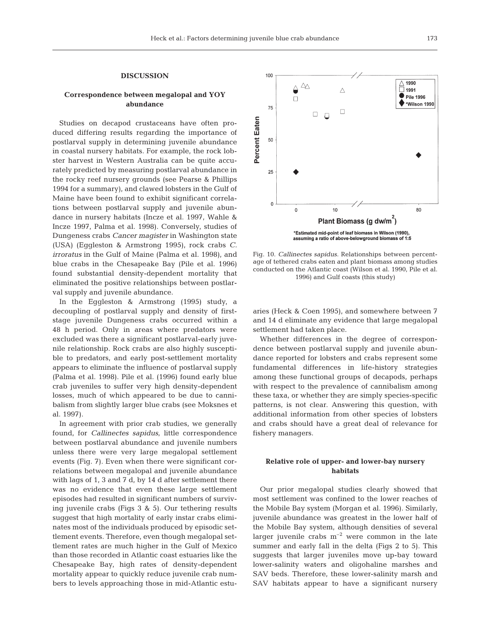#### **DISCUSSION**

## **Correspondence between megalopal and YOY abundance**

Studies on decapod crustaceans have often produced differing results regarding the importance of postlarval supply in determining juvenile abundance in coastal nursery habitats. For example, the rock lobster harvest in Western Australia can be quite accurately predicted by measuring postlarval abundance in the rocky reef nursery grounds (see Pearse & Phillips 1994 for a summary), and clawed lobsters in the Gulf of Maine have been found to exhibit significant correlations between postlarval supply and juvenile abundance in nursery habitats (Incze et al. 1997, Wahle & Incze 1997, Palma et al. 1998). Conversely, studies of Dungeness crabs *Cancer magister* in Washington state (USA) (Eggleston & Armstrong 1995), rock crabs *C. irroratus* in the Gulf of Maine (Palma et al. 1998), and blue crabs in the Chesapeake Bay (Pile et al. 1996) found substantial density-dependent mortality that eliminated the positive relationships between postlarval supply and juvenile abundance.

In the Eggleston & Armstrong (1995) study, a decoupling of postlarval supply and density of firststage juvenile Dungeness crabs occurred within a 48 h period. Only in areas where predators were excluded was there a significant postlarval-early juvenile relationship. Rock crabs are also highly susceptible to predators, and early post-settlement mortality appears to eliminate the influence of postlarval supply (Palma et al. 1998). Pile et al. (1996) found early blue crab juveniles to suffer very high density-dependent losses, much of which appeared to be due to cannibalism from slightly larger blue crabs (see Moksnes et al. 1997).

In agreement with prior crab studies, we generally found, for *Callinectes sapidus,* little correspondence between postlarval abundance and juvenile numbers unless there were very large megalopal settlement events (Fig. 7). Even when there were significant correlations between megalopal and juvenile abundance with lags of 1, 3 and 7 d, by 14 d after settlement there was no evidence that even these large settlement episodes had resulted in significant numbers of surviving juvenile crabs (Figs 3 & 5). Our tethering results suggest that high mortality of early instar crabs eliminates most of the individuals produced by episodic settlement events. Therefore, even though megalopal settlement rates are much higher in the Gulf of Mexico than those recorded in Atlantic coast estuaries like the Chesapeake Bay, high rates of density-dependent mortality appear to quickly reduce juvenile crab numbers to levels approaching those in mid-Atlantic estu-



Fig. 10. *Callinectes sapidus.* Relationships between percentage of tethered crabs eaten and plant biomass among studies conducted on the Atlantic coast (Wilson et al. 1990, Pile et al. 1996) and Gulf coasts (this study)

aries (Heck & Coen 1995), and somewhere between 7 and 14 d eliminate any evidence that large megalopal settlement had taken place.

Whether differences in the degree of correspondence between postlarval supply and juvenile abundance reported for lobsters and crabs represent some fundamental differences in life-history strategies among these functional groups of decapods, perhaps with respect to the prevalence of cannibalism among these taxa, or whether they are simply species-specific patterns, is not clear. Answering this question, with additional information from other species of lobsters and crabs should have a great deal of relevance for fishery managers.

## **Relative role of upper- and lower-bay nursery habitats**

Our prior megalopal studies clearly showed that most settlement was confined to the lower reaches of the Mobile Bay system (Morgan et al. 1996). Similarly, juvenile abundance was greatest in the lower half of the Mobile Bay system, although densities of several larger juvenile crabs  $m^{-2}$  were common in the late summer and early fall in the delta (Figs 2 to 5). This suggests that larger juveniles move up-bay toward lower-salinity waters and oligohaline marshes and SAV beds. Therefore, these lower-salinity marsh and SAV habitats appear to have a significant nursery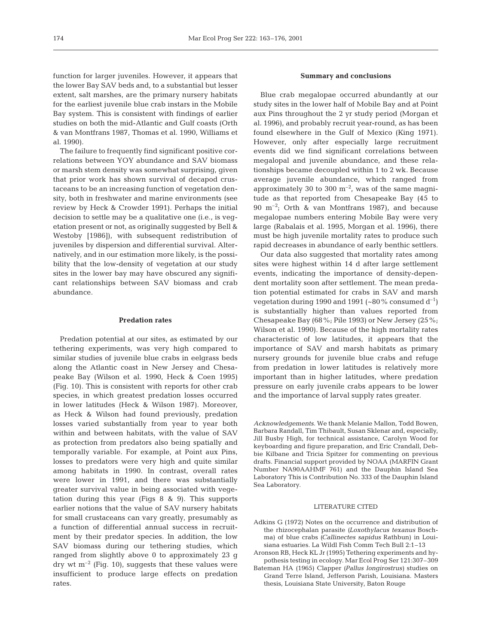function for larger juveniles. However, it appears that the lower Bay SAV beds and, to a substantial but lesser extent, salt marshes, are the primary nursery habitats for the earliest juvenile blue crab instars in the Mobile Bay system. This is consistent with findings of earlier studies on both the mid-Atlantic and Gulf coasts (Orth & van Montfrans 1987, Thomas et al. 1990, Williams et al. 1990).

The failure to frequently find significant positive correlations between YOY abundance and SAV biomass or marsh stem density was somewhat surprising, given that prior work has shown survival of decapod crustaceans to be an increasing function of vegetation density, both in freshwater and marine environments (see review by Heck & Crowder 1991). Perhaps the initial decision to settle may be a qualitative one (i.e., is vegetation present or not, as originally suggested by Bell & Westoby [1986]), with subsequent redistribution of juveniles by dispersion and differential survival. Alternatively, and in our estimation more likely, is the possibility that the low-density of vegetation at our study sites in the lower bay may have obscured any significant relationships between SAV biomass and crab abundance.

### **Predation rates**

Predation potential at our sites, as estimated by our tethering experiments, was very high compared to similar studies of juvenile blue crabs in eelgrass beds along the Atlantic coast in New Jersey and Chesapeake Bay (Wilson et al. 1990, Heck & Coen 1995) (Fig. 10). This is consistent with reports for other crab species, in which greatest predation losses occurred in lower latitudes (Heck & Wilson 1987). Moreover, as Heck & Wilson had found previously, predation losses varied substantially from year to year both within and between habitats, with the value of SAV as protection from predators also being spatially and temporally variable. For example, at Point aux Pins, losses to predators were very high and quite similar among habitats in 1990. In contrast, overall rates were lower in 1991, and there was substantially greater survival value in being associated with vegetation during this year (Figs 8 & 9). This supports earlier notions that the value of SAV nursery habitats for small crustaceans can vary greatly, presumably as a function of differential annual success in recruitment by their predator species. In addition, the low SAV biomass during our tethering studies, which ranged from slightly above 0 to approximately 23 g dry wt  $m^{-2}$  (Fig. 10), suggests that these values were insufficient to produce large effects on predation rates.

#### **Summary and conclusions**

Blue crab megalopae occurred abundantly at our study sites in the lower half of Mobile Bay and at Point aux Pins throughout the 2 yr study period (Morgan et al. 1996), and probably recruit year-round, as has been found elsewhere in the Gulf of Mexico (King 1971). However, only after especially large recruitment events did we find significant correlations between megalopal and juvenile abundance, and these relationships became decoupled within 1 to 2 wk. Because average juvenile abundance, which ranged from approximately 30 to 300  $\mathrm{m}^{-2}$ , was of the same magnitude as that reported from Chesapeake Bay (45 to 90  $\mathrm{m}^{-2}$ ; Orth & van Montfrans 1987), and because megalopae numbers entering Mobile Bay were very large (Rabalais et al. 1995, Morgan et al. 1996), there must be high juvenile mortality rates to produce such rapid decreases in abundance of early benthic settlers.

Our data also suggested that mortality rates among sites were highest within 14 d after large settlement events, indicating the importance of density-dependent mortality soon after settlement. The mean predation potential estimated for crabs in SAV and marsh vegetation during 1990 and 1991 (~80% consumed  $d^{-1}$ ) is substantially higher than values reported from Chesapeake Bay (68%; Pile 1993) or New Jersey (25%; Wilson et al. 1990). Because of the high mortality rates characteristic of low latitudes, it appears that the importance of SAV and marsh habitats as primary nursery grounds for juvenile blue crabs and refuge from predation in lower latitudes is relatively more important than in higher latitudes, where predation pressure on early juvenile crabs appears to be lower and the importance of larval supply rates greater.

*Acknowledgements.* We thank Melanie Mallon, Todd Bowen, Barbara Randall, Tim Thibault, Susan Sklenar and, especially, Jill Busby High, for technical assistance, Carolyn Wood for keyboarding and figure preparation, and Eric Crandall, Debbie Kilbane and Tricia Spitzer for commenting on previous drafts. Financial support provided by NOAA (MARFIN Grant Number NA90AAHMF 761) and the Dauphin Island Sea Laboratory This is Contribution No. 333 of the Dauphin Island Sea Laboratory.

### LITERATURE CITED

- Adkins G (1972) Notes on the occurrence and distribution of the rhizocephalan parasite *(Loxothylacus texanus* Boschma) of blue crabs *(Callinectes sapidus* Rathbun) in Louisiana estuaries. La Wildl Fish Comm Tech Bull 2:1–13
- Aronson RB, Heck KL Jr (1995) Tethering experiments and hypothesis testing in ecology. Mar Ecol Prog Ser 121:307–309
- Bateman HA (1965) Clapper *(Pallus longirostrus)* studies on Grand Terre Island, Jefferson Parish, Louisiana. Masters thesis, Louisiana State University, Baton Rouge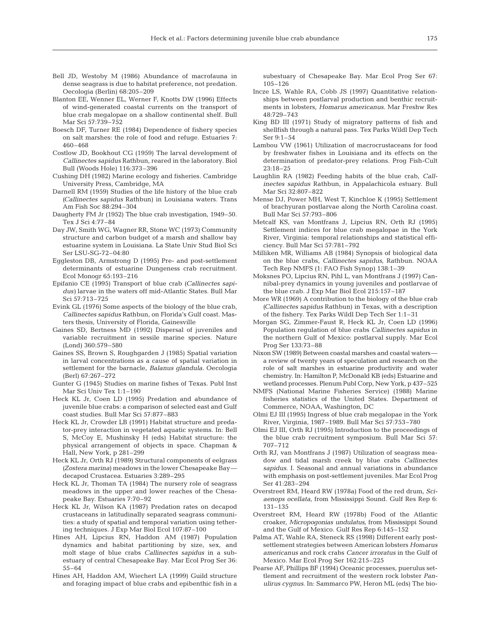- Bell JD, Westoby M (1986) Abundance of macrofauna in dense seagrass is due to habitat preference, not predation. Oecologia (Berlin) 68:205–209
- Blanton EE, Wenner EL, Werner F, Knotts DW (1996) Effects of wind-generated coastal currents on the transport of blue crab megalopae on a shallow continental shelf. Bull Mar Sci 57:739–752
- Boesch DF, Turner RE (1984) Dependence of fishery species on salt marshes: the role of food and refuge. Estuaries 7: 460–468
- Costlow JD, Bookhout CG (1959) The larval development of *Callinectes sapidus* Rathbun, reared in the laboratory. Biol Bull (Woods Hole) 116:373–396
- Cushing DH (1982) Marine ecology and fisheries. Cambridge University Press, Cambridge, MA
- Darnell RM (1959) Studies of the life history of the blue crab *(Callinectes sapidus* Rathbun) in Louisiana waters. Trans Am Fish Soc 88:294–304
- Daugherty FM Jr (1952) The blue crab investigation, 1949–50. Tex J Sci 4:77–84
- Day JW, Smith WG, Wagner RR, Stone WC (1973) Community structure and carbon budget of a marsh and shallow bay estuarine system in Louisiana. La State Univ Stud Biol Sci Ser LSU-SG-72–04:80
- Eggleston DB, Armstrong D (1995) Pre- and post-settlement determinants of estuarine Dungeness crab recruitment. Ecol Monogr 65:193–216
- Epifanio CE (1995) Transport of blue crab *(Callinectes sapidus)* larvae in the waters off mid-Atlantic States. Bull Mar Sci 57:713–725
- Evink GL (1976) Some aspects of the biology of the blue crab, *Callinectes sapidus* Rathbun, on Florida's Gulf coast. Masters thesis, University of Florida, Gainesville
- Gaines SD, Bertness MD (1992) Dispersal of juveniles and variable recruitment in sessile marine species. Nature (Lond) 360:579–580
- Gaines SS, Brown S, Roughgarden J (1985) Spatial variation in larval concentrations as a cause of spatial variation in settlement for the barnacle, *Balanus glandula*. Oecologia (Berl) 67:267–272
- Gunter G (1945) Studies on marine fishes of Texas. Publ Inst Mar Sci Univ Tex 1:1–190
- Heck KL Jr, Coen LD (1995) Predation and abundance of juvenile blue crabs: a comparison of selected east and Gulf coast studies. Bull Mar Sci 57:877–883
- Heck KL Jr, Crowder LB (1991) Habitat structure and predator-prey interaction in vegetated aquatic systems. In: Bell S, McCoy E, Mushinsky H (eds) Habitat structure: the physical arrangement of objects in space. Chapman & Hall, New York, p 281–299
- Heck KL Jr, Orth RJ (1989) Structural components of eelgrass *(Zostera marina)* meadows in the lower Chesapeake Bay decapod Crustacea. Estuaries 3:289–295
- Heck KL Jr, Thoman TA (1984) The nursery role of seagrass meadows in the upper and lower reaches of the Chesapeake Bay. Estuaries 7:70–92
- Heck KL Jr, Wilson KA (1987) Predation rates on decapod crustaceans in latitudinally separated seagrass communities: a study of spatial and temporal variation using tethering techniques. J Exp Mar Biol Ecol 107:87–100
- Hines AH, Lipcius RN, Haddon AM (1987) Population dynamics and habitat partitioning by size, sex, and molt stage of blue crabs *Callinectes sapidus* in a subestuary of central Chesapeake Bay. Mar Ecol Prog Ser 36: 55–64
- Hines AH, Haddon AM, Wiechert LA (1999) Guild structure and foraging impact of blue crabs and epibenthic fish in a

subestuary of Chesapeake Bay. Mar Ecol Prog Ser 67: 105–126

- Incze LS, Wahle RA, Cobb JS (1997) Quantitative relationships between postlarval production and benthic recruitments in lobsters, *Homarus americanus*. Mar Freshw Res 48:729–743
- King BD III (1971) Study of migratory patterns of fish and shellfish through a natural pass. Tex Parks Wildl Dep Tech Ser 9:1–54
- Lambou VW (1961) Utilization of macrocrustaceans for food by freshwater fishes in Louisiana and its effects on the determination of predator-prey relations. Prog Fish-Cult 23:18–25
- Laughlin RA (1982) Feeding habits of the blue crab, *Callinectes sapidus* Rathbun, in Appalachicola estuary. Bull Mar Sci 32:807–822
- Mense DJ, Power MH, West T, Kinchloe K (1995) Settlement of brachyuran postlarvae along the North Carolina coast. Bull Mar Sci 57:793–806
- Metcalf KS, van Montfrans J, Lipcius RN, Orth RJ (1995) Settlement indices for blue crab megalopae in the York River, Virginia: temporal relationships and statistical efficiency. Bull Mar Sci 57:781–792
- Milliken MR, Williams AB (1984) Synopsis of biological data on the blue crabs, *Callinectes sapidus*, Rathbun. NOAA Tech Rep NMFS (1: FAO Fish Synop) 138:1–39
- Moksnes PO, Lipcius RN, Pihl L, van Montfrans J (1997) Cannibal-prey dynamics in young juveniles and postlarvae of the blue crab. J Exp Mar Biol Ecol 215:157–187
- More WR (1969) A contribution to the biology of the blue crab *(Callinectes sapidus* Rathbun) in Texas, with a description of the fishery. Tex Parks Wildl Dep Tech Ser 1:1–31
- Morgan SG, Zimmer-Faust R, Heck KL Jr, Coen LD (1996) Population regulation of blue crabs *Callinectes sapidus* in the northern Gulf of Mexico: postlarval supply. Mar Ecol Prog Ser 133:73–88
- Nixon SW (1989) Between coastal marshes and coastal waters a review of twenty years of speculation and research on the role of salt marshes in estuarine productivity and water chemistry. In: Hamilton P, McDonald KB (eds) Estuarine and wetland processes. Plenum Publ Corp, New York, p 437–525
- NMFS (National Marine Fisheries Service) (1988) Marine fisheries statistics of the United States. Department of Commerce, NOAA, Washington, DC
- Olmi EJ III (1995) Ingress of blue crab megalopae in the York River, Virginia, 1987–1989. Bull Mar Sci 57:753–780
- Olmi EJ III, Orth RJ (1995) Introduction to the proceedings of the blue crab recruitment symposium. Bull Mar Sci 57: 707–712
- Orth RJ, van Montfrans J (1987) Utilization of seagrass meadow and tidal marsh creek by blue crabs *Callinectes sapidus*. I. Seasonal and annual variations in abundance with emphasis on post-settlement juveniles. Mar Ecol Prog Ser 41:283–294
- Overstreet RM, Heard RW (1978a) Food of the red drum, *Sciaenops ocellata*, from Mississippi Sound. Gulf Res Rep 6: 131–135
- Overstreet RM, Heard RW (1978b) Food of the Atlantic croaker, *Micropogonias undulatus*, from Mississippi Sound and the Gulf of Mexico. Gulf Res Rep 6:145–152
- Palma AT, Wahle RA, Steneck RS (1998) Different early postsettlement strategies between American lobsters *Homarus americanus* and rock crabs *Cancer irroratus* in the Gulf of Mexico. Mar Ecol Prog Ser 162:215–225
- Pearse AF, Phillips BF (1994) Oceanic processes, puerulus settlement and recruitment of the western rock lobster *Panulirus cygnus*. In: Sammarco PW, Heron ML (eds) The bio-